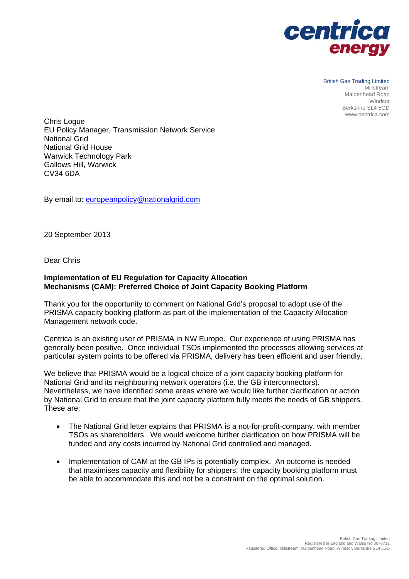

British Gas Trading Limited Millstream Maidenhead Road Windsor Berkshire SL4 5GD www.centrica.com

Chris Logue EU Policy Manager, Transmission Network Service National Grid National Grid House Warwick Technology Park Gallows Hill, Warwick CV34 6DA

By email to: europeanpolicy@nationalgrid.com

20 September 2013

Dear Chris

## **Implementation of EU Regulation for Capacity Allocation Mechanisms (CAM): Preferred Choice of Joint Capacity Booking Platform**

Thank you for the opportunity to comment on National Grid's proposal to adopt use of the PRISMA capacity booking platform as part of the implementation of the Capacity Allocation Management network code.

Centrica is an existing user of PRISMA in NW Europe. Our experience of using PRISMA has generally been positive. Once individual TSOs implemented the processes allowing services at particular system points to be offered via PRISMA, delivery has been efficient and user friendly.

We believe that PRISMA would be a logical choice of a joint capacity booking platform for National Grid and its neighbouring network operators (i.e. the GB interconnectors). Nevertheless, we have identified some areas where we would like further clarification or action by National Grid to ensure that the joint capacity platform fully meets the needs of GB shippers. These are:

- The National Grid letter explains that PRISMA is a not-for-profit-company, with member TSOs as shareholders. We would welcome further clarification on how PRISMA will be funded and any costs incurred by National Grid controlled and managed.
- Implementation of CAM at the GB IPs is potentially complex. An outcome is needed that maximises capacity and flexibility for shippers: the capacity booking platform must be able to accommodate this and not be a constraint on the optimal solution.